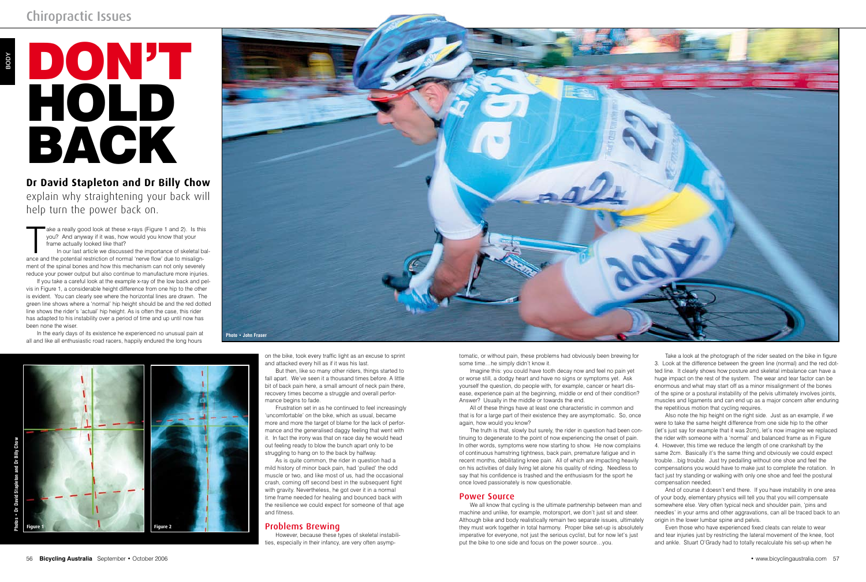on the bike, took every traffic light as an excuse to sprint and attacked every hill as if it was his last.

But then, like so many other riders, things started to fall apart. We've seen it a thousand times before. A little bit of back pain here, a small amount of neck pain there, recovery times become a struggle and overall performance begins to fade.

Frustration set in as he continued to feel increasingly 'uncomfortable' on the bike, which as usual, became more and more the target of blame for the lack of performance and the generalised daggy feeling that went with it. In fact the irony was that on race day he would head out feeling ready to blow the bunch apart only to be struggling to hang on to the back by halfway.

ake a really good look at these x-rays (Figure 1 and 2). Is this you? And anyway if it was, how would you know that your frame actually looked like that?<br>In our last article we discussed the importance of skeletal bance an ake a really good look at these x-rays (Figure 1 and 2). Is this you? And anyway if it was, how would you know that your frame actually looked like that?

In our last article we discussed the importance of skeletal balment of the spinal bones and how this mechanism can not only severely reduce your power output but also continue to manufacture more injuries.

> As is quite common, the rider in question had a mild history of minor back pain, had 'pulled' the odd muscle or two, and like most of us, had the occasional crash, coming off second best in the subsequent fight with gravity. Nevertheless, he got over it in a normal time frame needed for healing and bounced back with the resilience we could expect for someone of that age and fitness.

# Problems Brewing

However, because these types of skeletal instabilities, especially in their infancy, are very often asymp-

# Don't HOL Back

If you take a careful look at the example x-ray of the low back and pelvis in Figure 1, a considerable height difference from one hip to the other is evident. You can clearly see where the horizontal lines are drawn. The green line shows where a 'normal' hip height should be and the red dotted line shows the rider's 'actual' hip height. As is often the case, this rider has adapted to his instability over a period of time and up until now has been none the wiser.

In the early days of its existence he experienced no unusual pain at all and like all enthusiastic road racers, happily endured the long hours

BODY

tomatic, or without pain, these problems had obviously been brewing for some time…he simply didn't know it.

Imagine this: you could have tooth decay now and feel no pain yet or worse still, a dodgy heart and have no signs or symptoms yet. Ask yourself the question, do people with, for example, cancer or heart disease, experience pain at the beginning, middle or end of their condition? Answer? Usually in the middle or towards the end.

> And of course it doesn't end there. If you have instability in one area of your body, elementary physics will tell you that you will compensate somewhere else. Very often typical neck and shoulder pain, 'pins and needles' in your arms and other aggravations, can all be traced back to an origin in the lower lumbar spine and pelvis.

All of these things have at least one characteristic in common and that is for a large part of their existence they are asymptomatic. So, once again, how would you know?

The truth is that, slowly but surely, the rider in question had been continuing to degenerate to the point of now experiencing the onset of pain. In other words, symptoms were now starting to show. He now complains of continuous hamstring tightness, back pain, premature fatigue and in recent months, debilitating knee pain. All of which are impacting heavily on his activities of daily living let alone his quality of riding. Needless to say that his confidence is trashed and the enthusiasm for the sport he once loved passionately is now questionable.

### Power Source

We all know that cycling is the ultimate partnership between man and machine and unlike, for example, motorsport, we don't just sit and steer. Although bike and body realistically remain two separate issues, ultimately they must work together in total harmony. Proper bike set-up is absolutely imperative for everyone, not just the serious cyclist, but for now let's just put the bike to one side and focus on the power source…you.

**Dr David Stapleton and Dr Billy Chow** explain why straightening your back will help turn the power back on.

> Take a look at the photograph of the rider seated on the bike in figure 3. Look at the difference between the green line (normal) and the red dotted line. It clearly shows how posture and skeletal imbalance can have a huge impact on the rest of the system. The wear and tear factor can be enormous and what may start off as a minor misalignment of the bones of the spine or a postural instability of the pelvis ultimately involves joints, muscles and ligaments and can end up as a major concern after enduring the repetitious motion that cycling requires.

> Also note the hip height on the right side. Just as an example, if we were to take the same height difference from one side hip to the other (let's just say for example that it was 2cm), let's now imagine we replaced the rider with someone with a 'normal' and balanced frame as in Figure 4. However, this time we reduce the length of one crankshaft by the same 2cm. Basically it's the same thing and obviously we could expect trouble…big trouble. Just try pedalling without one shoe and feel the compensations you would have to make just to complete the rotation. In fact just try standing or walking with only one shoe and feel the postural compensation needed.

Even those who have experienced fixed cleats can relate to wear and tear injuries just by restricting the lateral movement of the knee, foot and ankle. Stuart O'Grady had to totally recalculate his set-up when he